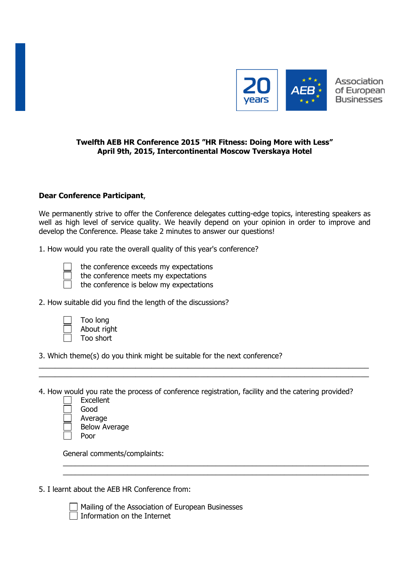

## **Twelfth AEB HR Conference 2015 "HR Fitness: Doing More with Less" April 9th, 2015, Intercontinental Moscow Tverskaya Hotel**

## **Dear Conference Participant**,

We permanently strive to offer the Conference delegates cutting-edge topics, interesting speakers as well as high level of service quality. We heavily depend on your opinion in order to improve and develop the Conference. Please take 2 minutes to answer our questions!

1. How would you rate the overall quality of this year's conference?



the conference exceeds my expectations

the conference meets my expectations

the conference is below my expectations

2. How suitable did you find the length of the discussions?

|   | Too I |  |
|---|-------|--|
| ⅂ | Abou  |  |
|   | Too s |  |

long ut right short

3. Which theme(s) do you think might be suitable for the next conference?

4. How would you rate the process of conference registration, facility and the catering provided?

\_\_\_\_\_\_\_\_\_\_\_\_\_\_\_\_\_\_\_\_\_\_\_\_\_\_\_\_\_\_\_\_\_\_\_\_\_\_\_\_\_\_\_\_\_\_\_\_\_\_\_\_\_\_\_\_\_\_\_\_\_\_\_\_\_\_\_\_\_\_\_\_\_\_\_\_\_\_\_\_\_\_  $\_$  , and the set of the set of the set of the set of the set of the set of the set of the set of the set of the set of the set of the set of the set of the set of the set of the set of the set of the set of the set of th

\_\_\_\_\_\_\_\_\_\_\_\_\_\_\_\_\_\_\_\_\_\_\_\_\_\_\_\_\_\_\_\_\_\_\_\_\_\_\_\_\_\_\_\_\_\_\_\_\_\_\_\_\_\_\_\_\_\_\_\_\_\_\_\_\_\_\_\_\_\_\_\_\_\_\_\_ \_\_\_\_\_\_\_\_\_\_\_\_\_\_\_\_\_\_\_\_\_\_\_\_\_\_\_\_\_\_\_\_\_\_\_\_\_\_\_\_\_\_\_\_\_\_\_\_\_\_\_\_\_\_\_\_\_\_\_\_\_\_\_\_\_\_\_\_\_\_\_\_\_\_\_\_

| Excellent            |
|----------------------|
| Good                 |
| Average              |
| <b>Below Average</b> |
| Poor                 |

General comments/complaints:

5. I learnt about the AEB HR Conference from:

Mailing of the Association of European Businesses  $\Box$  Information on the Internet